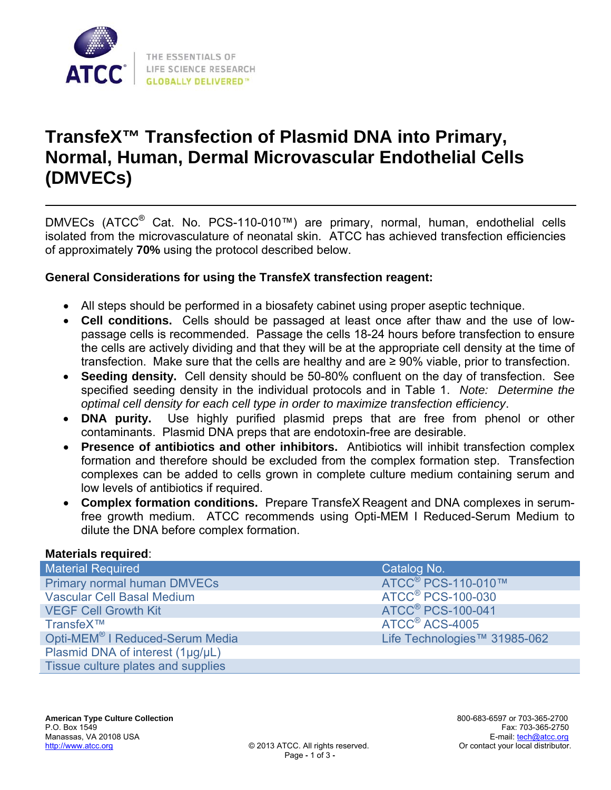

# **TransfeX™ Transfection of Plasmid DNA into Primary, Normal, Human, Dermal Microvascular Endothelial Cells (DMVECs)**

DMVECs (ATCC® Cat. No. PCS-110-010™) are primary, normal, human, endothelial cells isolated from the microvasculature of neonatal skin. ATCC has achieved transfection efficiencies of approximately **70%** using the protocol described below.

## **General Considerations for using the TransfeX transfection reagent:**

- All steps should be performed in a biosafety cabinet using proper aseptic technique.
- **Cell conditions.** Cells should be passaged at least once after thaw and the use of lowpassage cells is recommended. Passage the cells 18-24 hours before transfection to ensure the cells are actively dividing and that they will be at the appropriate cell density at the time of transfection. Make sure that the cells are healthy and are ≥ 90% viable, prior to transfection.
- **Seeding density.** Cell density should be 50-80% confluent on the day of transfection. See specified seeding density in the individual protocols and in Table 1. *Note: Determine the optimal cell density for each cell type in order to maximize transfection efficiency*.
- **DNA purity.** Use highly purified plasmid preps that are free from phenol or other contaminants. Plasmid DNA preps that are endotoxin-free are desirable.
- **Presence of antibiotics and other inhibitors.** Antibiotics will inhibit transfection complex formation and therefore should be excluded from the complex formation step. Transfection complexes can be added to cells grown in complete culture medium containing serum and low levels of antibiotics if required.
- **Complex formation conditions.** Prepare TransfeX Reagent and DNA complexes in serumfree growth medium. ATCC recommends using Opti-MEM I Reduced-Serum Medium to dilute the DNA before complex formation.

#### **Materials required**:

| <b>Material Required</b>                    | Catalog No.                         |
|---------------------------------------------|-------------------------------------|
| Primary normal human DMVECs                 | ATCC <sup>®</sup> PCS-110-010™      |
| <b>Vascular Cell Basal Medium</b>           | <b>ATCC<sup>®</sup> PCS-100-030</b> |
| <b>VEGF Cell Growth Kit</b>                 | <b>ATCC<sup>®</sup> PCS-100-041</b> |
| TransfeX™                                   | ATCC <sup>®</sup> ACS-4005          |
| Opti-MEM <sup>®</sup> I Reduced-Serum Media | Life Technologies™ 31985-062        |
| Plasmid DNA of interest (1µg/µL)            |                                     |
| Tissue culture plates and supplies          |                                     |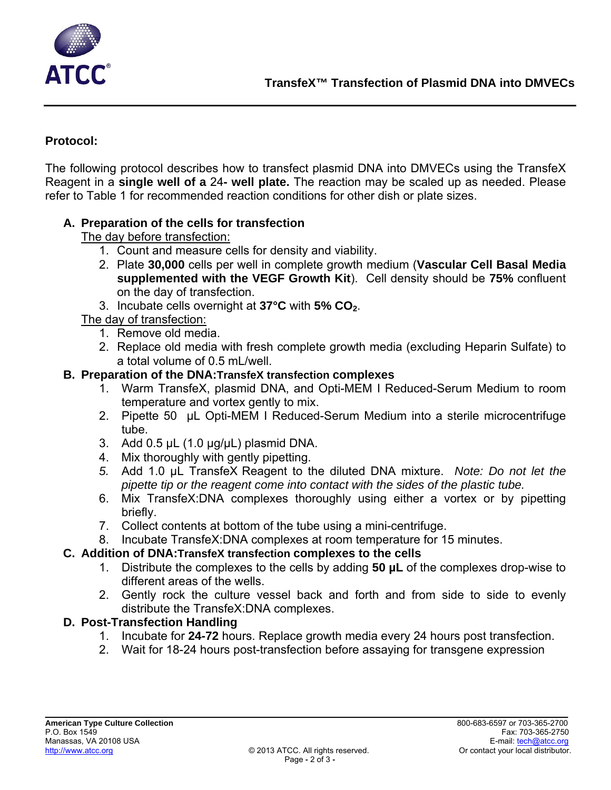

## **Protocol:**

The following protocol describes how to transfect plasmid DNA into DMVECs using the TransfeX Reagent in a **single well of a** 24**- well plate.** The reaction may be scaled up as needed. Please refer to Table 1 for recommended reaction conditions for other dish or plate sizes.

## **A. Preparation of the cells for transfection**

The day before transfection:

- 1. Count and measure cells for density and viability.
- 2. Plate **30,000** cells per well in complete growth medium (**Vascular Cell Basal Media supplemented with the VEGF Growth Kit**). Cell density should be **75%** confluent on the day of transfection.
- 3. Incubate cells overnight at **37°C** with **5% CO2**.

The day of transfection:

- 1. Remove old media.
- 2. Replace old media with fresh complete growth media (excluding Heparin Sulfate) to a total volume of 0.5 mL/well.

#### **B. Preparation of the DNA:TransfeX transfection complexes**

- 1. Warm TransfeX, plasmid DNA, and Opti-MEM I Reduced-Serum Medium to room temperature and vortex gently to mix.
- 2. Pipette 50 µL Opti-MEM I Reduced-Serum Medium into a sterile microcentrifuge tube.
- 3. Add  $0.5 \mu L$  (1.0  $\mu g/\mu L$ ) plasmid DNA.
- 4. Mix thoroughly with gently pipetting.
- *5.* Add 1.0 µL TransfeX Reagent to the diluted DNA mixture. *Note: Do not let the pipette tip or the reagent come into contact with the sides of the plastic tube.*
- 6. Mix TransfeX:DNA complexes thoroughly using either a vortex or by pipetting briefly.
- 7. Collect contents at bottom of the tube using a mini-centrifuge.
- 8. Incubate TransfeX:DNA complexes at room temperature for 15 minutes.

# **C. Addition of DNA:TransfeX transfection complexes to the cells**

- 1. Distribute the complexes to the cells by adding **50 µL** of the complexes drop-wise to different areas of the wells.
- 2. Gently rock the culture vessel back and forth and from side to side to evenly distribute the TransfeX:DNA complexes.

#### **D. Post-Transfection Handling**

- 1. Incubate for **24-72** hours. Replace growth media every 24 hours post transfection.
- 2. Wait for 18-24 hours post-transfection before assaying for transgene expression

\_\_\_\_\_\_\_\_\_\_\_\_\_\_\_\_ \_\_\_